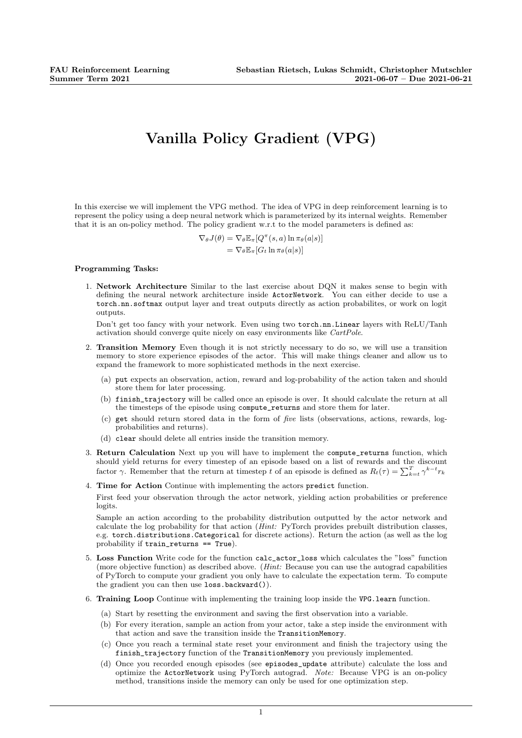## Vanilla Policy Gradient (VPG)

In this exercise we will implement the VPG method. The idea of VPG in deep reinforcement learning is to represent the policy using a deep neural network which is parameterized by its internal weights. Remember that it is an on-policy method. The policy gradient w.r.t to the model parameters is defined as:

> $\nabla_{\theta} J(\theta) = \nabla_{\theta} \mathbb{E}_{\pi} [Q^{\pi}(s, a) \ln \pi_{\theta}(a|s)]$  $=\nabla_{\theta}\mathbb{E}_{\pi}[G_t \ln \pi_{\theta}(a|s)]$

## Programming Tasks:

1. Network Architecture Similar to the last exercise about DQN it makes sense to begin with defining the neural network architecture inside ActorNetwork. You can either decide to use a torch.nn.softmax output layer and treat outputs directly as action probabilites, or work on logit outputs.

Don't get too fancy with your network. Even using two torch.nn.Linear layers with ReLU/Tanh activation should converge quite nicely on easy environments like CartPole.

- 2. Transition Memory Even though it is not strictly necessary to do so, we will use a transition memory to store experience episodes of the actor. This will make things cleaner and allow us to expand the framework to more sophisticated methods in the next exercise.
	- (a) put expects an observation, action, reward and log-probability of the action taken and should store them for later processing.
	- (b) finish\_trajectory will be called once an episode is over. It should calculate the return at all the timesteps of the episode using compute\_returns and store them for later.
	- (c) get should return stored data in the form of five lists (observations, actions, rewards, logprobabilities and returns).
	- (d) clear should delete all entries inside the transition memory.
- 3. Return Calculation Next up you will have to implement the compute\_returns function, which should yield returns for every timestep of an episode based on a list of rewards and the discount factor  $\gamma$ . Remember that the return at timestep t of an episode is defined as  $R_t(\tau) = \sum_{k=t}^{T} \gamma^{k-t} r_k$
- 4. Time for Action Continue with implementing the actors predict function.

First feed your observation through the actor network, yielding action probabilities or preference logits.

Sample an action according to the probability distribution outputted by the actor network and calculate the log probability for that action (Hint: PyTorch provides prebuilt distribution classes, e.g. torch.distributions.Categorical for discrete actions). Return the action (as well as the log probability if  $train$  returns  $==$  True).

- 5. Loss Function Write code for the function calc\_actor\_loss which calculates the "loss" function (more objective function) as described above. (Hint: Because you can use the autograd capabilities of PyTorch to compute your gradient you only have to calculate the expectation term. To compute the gradient you can then use loss.backward()).
- 6. Training Loop Continue with implementing the training loop inside the VPG.learn function.
	- (a) Start by resetting the environment and saving the first observation into a variable.
	- (b) For every iteration, sample an action from your actor, take a step inside the environment with that action and save the transition inside the TransitionMemory.
	- (c) Once you reach a terminal state reset your environment and finish the trajectory using the finish\_trajectory function of the TransitionMemory you previously implemented.
	- (d) Once you recorded enough episodes (see episodes\_update attribute) calculate the loss and optimize the ActorNetwork using PyTorch autograd. Note: Because VPG is an on-policy method, transitions inside the memory can only be used for one optimization step.